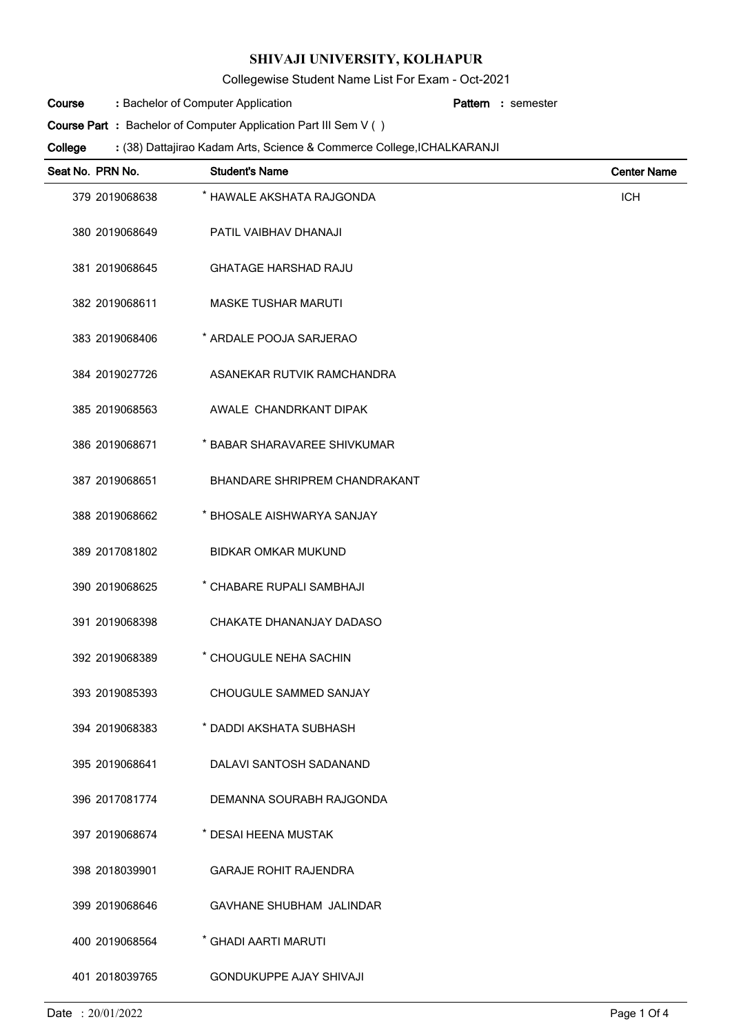Collegewise Student Name List For Exam - Oct-2021

Bachelor of Computer Application **: Pattern Course**

semester **:**

**Course Part**: Bachelor of Computer Application Part III Sem V ()

(38) Dattajirao Kadam Arts, Science & Commerce College,ICHALKARANJI **: College**

| Seat No. PRN No. | <b>Student's Name</b>                | <b>Center Name</b> |
|------------------|--------------------------------------|--------------------|
| 379 2019068638   | * HAWALE AKSHATA RAJGONDA            | <b>ICH</b>         |
| 380 2019068649   | PATIL VAIBHAV DHANAJI                |                    |
| 381 2019068645   | <b>GHATAGE HARSHAD RAJU</b>          |                    |
| 382 2019068611   | <b>MASKE TUSHAR MARUTI</b>           |                    |
| 383 2019068406   | * ARDALE POOJA SARJERAO              |                    |
| 384 2019027726   | ASANEKAR RUTVIK RAMCHANDRA           |                    |
| 385 2019068563   | AWALE CHANDRKANT DIPAK               |                    |
| 386 2019068671   | * BABAR SHARAVAREE SHIVKUMAR         |                    |
| 387 2019068651   | <b>BHANDARE SHRIPREM CHANDRAKANT</b> |                    |
| 388 2019068662   | * BHOSALE AISHWARYA SANJAY           |                    |
| 389 2017081802   | <b>BIDKAR OMKAR MUKUND</b>           |                    |
| 390 2019068625   | * CHABARE RUPALI SAMBHAJI            |                    |
| 391 2019068398   | CHAKATE DHANANJAY DADASO             |                    |
| 392 2019068389   | * CHOUGULE NEHA SACHIN               |                    |
| 393 2019085393   | CHOUGULE SAMMED SANJAY               |                    |
| 394 2019068383   | <b>DADDI AKSHATA SUBHASH</b>         |                    |
| 395 2019068641   | DALAVI SANTOSH SADANAND              |                    |
| 396 2017081774   | DEMANNA SOURABH RAJGONDA             |                    |
| 397 2019068674   | * DESAI HEENA MUSTAK                 |                    |
| 398 2018039901   | <b>GARAJE ROHIT RAJENDRA</b>         |                    |
| 399 2019068646   | <b>GAVHANE SHUBHAM JALINDAR</b>      |                    |
| 400 2019068564   | * GHADI AARTI MARUTI                 |                    |
| 401 2018039765   | <b>GONDUKUPPE AJAY SHIVAJI</b>       |                    |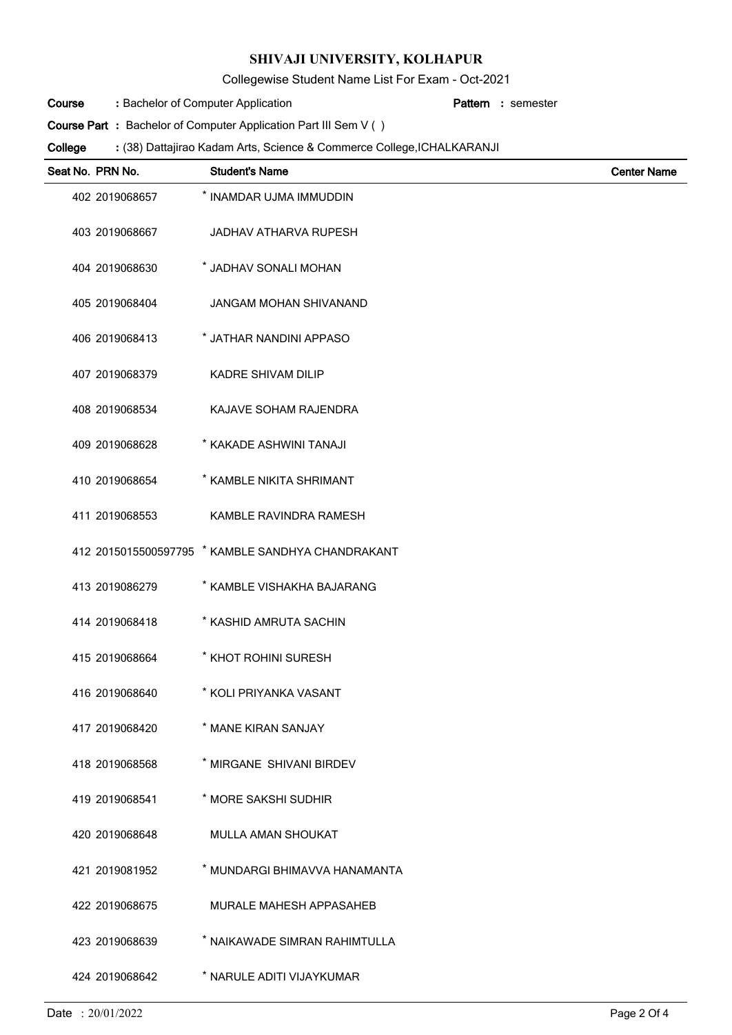Collegewise Student Name List For Exam - Oct-2021

Bachelor of Computer Application **: Pattern Course**

semester **:**

**Course Part**: Bachelor of Computer Application Part III Sem V ()

(38) Dattajirao Kadam Arts, Science & Commerce College,ICHALKARANJI **: College**

| Seat No. PRN No. | <b>Student's Name</b>                             | <b>Center Name</b> |
|------------------|---------------------------------------------------|--------------------|
| 402 2019068657   | * INAMDAR UJMA IMMUDDIN                           |                    |
| 403 2019068667   | <b>JADHAV ATHARVA RUPESH</b>                      |                    |
| 404 2019068630   | * JADHAV SONALI MOHAN                             |                    |
| 405 2019068404   | <b>JANGAM MOHAN SHIVANAND</b>                     |                    |
| 406 2019068413   | * JATHAR NANDINI APPASO                           |                    |
| 407 2019068379   | <b>KADRE SHIVAM DILIP</b>                         |                    |
| 408 2019068534   | KAJAVE SOHAM RAJENDRA                             |                    |
| 409 2019068628   | * KAKADE ASHWINI TANAJI                           |                    |
| 410 2019068654   | * KAMBLE NIKITA SHRIMANT                          |                    |
| 411 2019068553   | KAMBLE RAVINDRA RAMESH                            |                    |
|                  | 412 2015015500597795 * KAMBLE SANDHYA CHANDRAKANT |                    |
| 413 2019086279   | * KAMBLE VISHAKHA BAJARANG                        |                    |
| 414 2019068418   | * KASHID AMRUTA SACHIN                            |                    |
| 415 2019068664   | * KHOT ROHINI SURESH                              |                    |
| 416 2019068640   | * KOLI PRIYANKA VASANT                            |                    |
| 417 2019068420   | * MANE KIRAN SANJAY                               |                    |
| 418 2019068568   | * MIRGANE SHIVANI BIRDEV                          |                    |
| 419 2019068541   | * MORE SAKSHI SUDHIR                              |                    |
| 420 2019068648   | <b>MULLA AMAN SHOUKAT</b>                         |                    |
| 421 2019081952   | * MUNDARGI BHIMAVVA HANAMANTA                     |                    |
| 422 2019068675   | <b>MURALE MAHESH APPASAHEB</b>                    |                    |
| 423 2019068639   | * NAIKAWADE SIMRAN RAHIMTULLA                     |                    |
| 424 2019068642   | * NARULE ADITI VIJAYKUMAR                         |                    |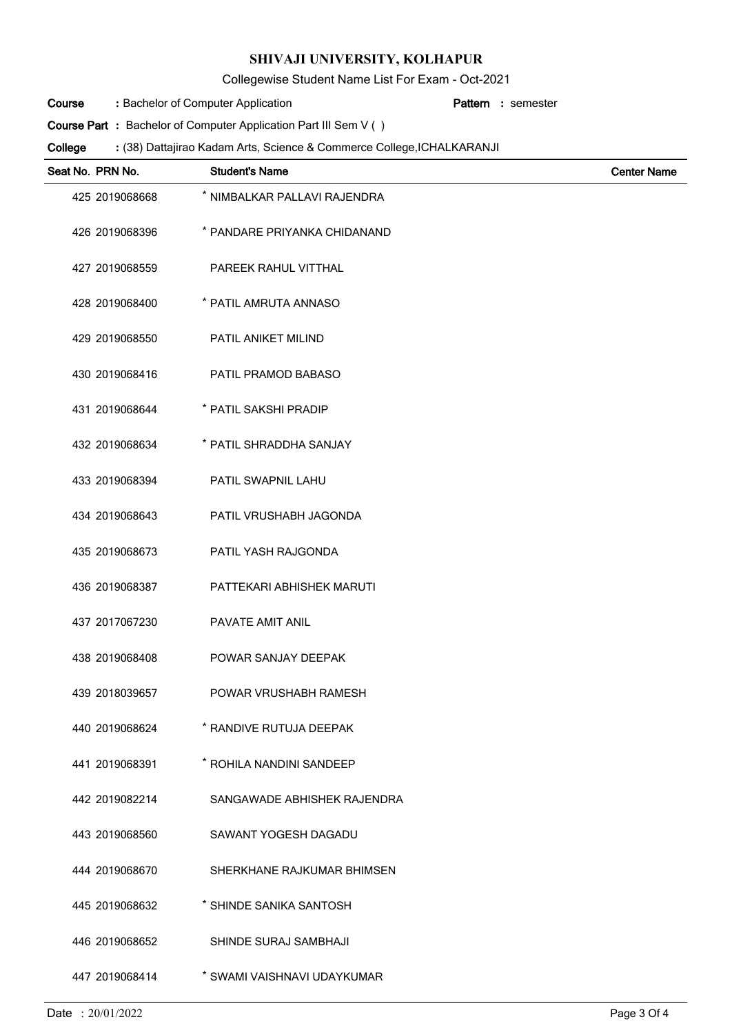Collegewise Student Name List For Exam - Oct-2021

Bachelor of Computer Application **: Pattern Course**

semester **:**

**Course Part**: Bachelor of Computer Application Part III Sem V ()

(38) Dattajirao Kadam Arts, Science & Commerce College,ICHALKARANJI **: College**

| Seat No. PRN No. | <b>Student's Name</b>        | <b>Center Name</b> |
|------------------|------------------------------|--------------------|
| 425 2019068668   | * NIMBALKAR PALLAVI RAJENDRA |                    |
| 426 2019068396   | * PANDARE PRIYANKA CHIDANAND |                    |
| 427 2019068559   | PAREEK RAHUL VITTHAL         |                    |
| 428 2019068400   | * PATIL AMRUTA ANNASO        |                    |
| 429 2019068550   | PATIL ANIKET MILIND          |                    |
| 430 2019068416   | PATIL PRAMOD BABASO          |                    |
| 431 2019068644   | * PATIL SAKSHI PRADIP        |                    |
| 432 2019068634   | * PATIL SHRADDHA SANJAY      |                    |
| 433 2019068394   | PATIL SWAPNIL LAHU           |                    |
| 434 2019068643   | PATIL VRUSHABH JAGONDA       |                    |
| 435 2019068673   | PATIL YASH RAJGONDA          |                    |
| 436 2019068387   | PATTEKARI ABHISHEK MARUTI    |                    |
| 437 2017067230   | PAVATE AMIT ANIL             |                    |
| 438 2019068408   | POWAR SANJAY DEEPAK          |                    |
| 439 2018039657   | POWAR VRUSHABH RAMESH        |                    |
| 440 2019068624   | * RANDIVE RUTUJA DEEPAK      |                    |
| 441 2019068391   | * ROHILA NANDINI SANDEEP     |                    |
| 442 2019082214   | SANGAWADE ABHISHEK RAJENDRA  |                    |
| 443 2019068560   | SAWANT YOGESH DAGADU         |                    |
| 444 2019068670   | SHERKHANE RAJKUMAR BHIMSEN   |                    |
| 445 2019068632   | * SHINDE SANIKA SANTOSH      |                    |
| 446 2019068652   | SHINDE SURAJ SAMBHAJI        |                    |
| 447 2019068414   | * SWAMI VAISHNAVI UDAYKUMAR  |                    |